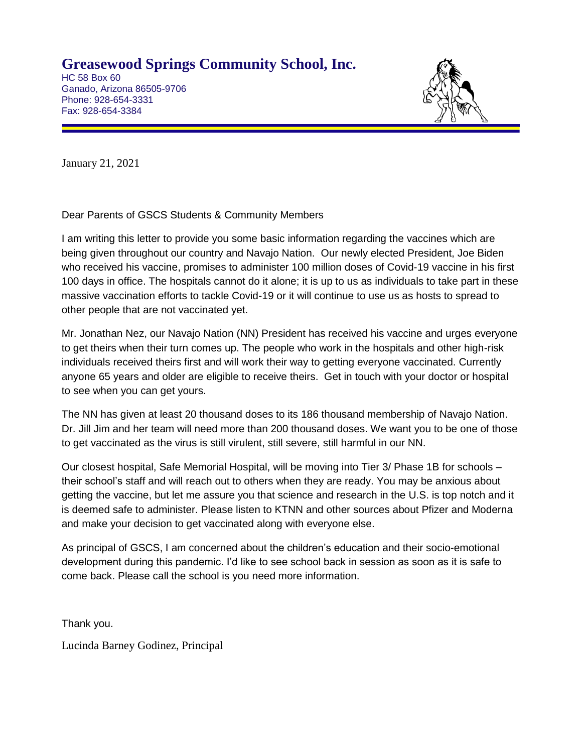**Greasewood Springs Community School, Inc.**

HC 58 Box 60 Ganado, Arizona 86505-9706 Phone: 928-654-3331 Fax: 928-654-3384



January 21, 2021

Dear Parents of GSCS Students & Community Members

I am writing this letter to provide you some basic information regarding the vaccines which are being given throughout our country and Navajo Nation. Our newly elected President, Joe Biden who received his vaccine, promises to administer 100 million doses of Covid-19 vaccine in his first 100 days in office. The hospitals cannot do it alone; it is up to us as individuals to take part in these massive vaccination efforts to tackle Covid-19 or it will continue to use us as hosts to spread to other people that are not vaccinated yet.

Mr. Jonathan Nez, our Navajo Nation (NN) President has received his vaccine and urges everyone to get theirs when their turn comes up. The people who work in the hospitals and other high-risk individuals received theirs first and will work their way to getting everyone vaccinated. Currently anyone 65 years and older are eligible to receive theirs. Get in touch with your doctor or hospital to see when you can get yours.

The NN has given at least 20 thousand doses to its 186 thousand membership of Navajo Nation. Dr. Jill Jim and her team will need more than 200 thousand doses. We want you to be one of those to get vaccinated as the virus is still virulent, still severe, still harmful in our NN.

Our closest hospital, Safe Memorial Hospital, will be moving into Tier 3/ Phase 1B for schools – their school's staff and will reach out to others when they are ready. You may be anxious about getting the vaccine, but let me assure you that science and research in the U.S. is top notch and it is deemed safe to administer. Please listen to KTNN and other sources about Pfizer and Moderna and make your decision to get vaccinated along with everyone else.

As principal of GSCS, I am concerned about the children's education and their socio-emotional development during this pandemic. I'd like to see school back in session as soon as it is safe to come back. Please call the school is you need more information.

Thank you.

Lucinda Barney Godinez, Principal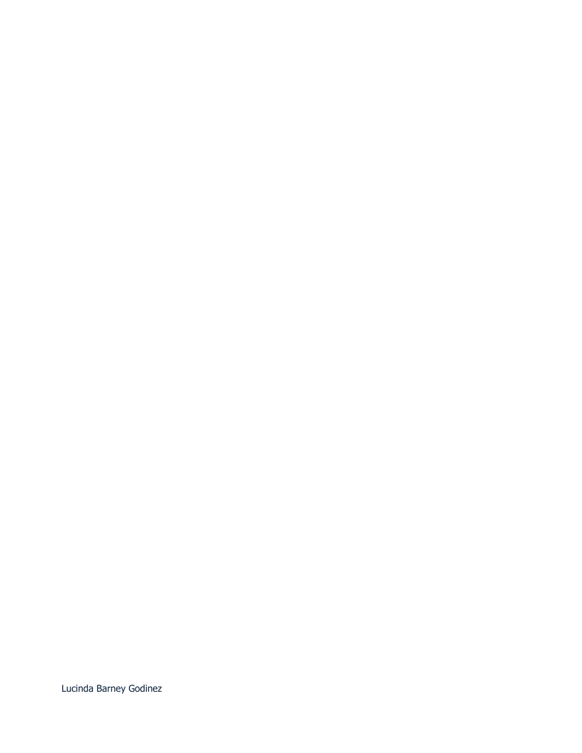Lucinda Barney Godinez